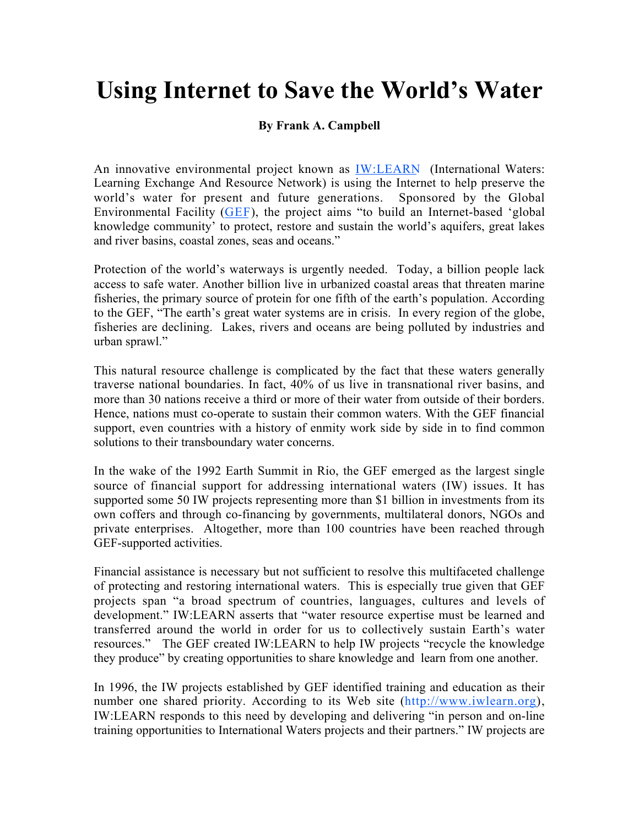## **Using Internet to Save the World's Water**

## **By Frank A. Campbell**

An innovative environmental project known as IW:LEARN (International Waters: Learning Exchange And Resource Network) is using the Internet to help preserve the world's water for present and future generations. Sponsored by the Global Environmental Facility (GEF), the project aims "to build an Internet-based 'global knowledge community' to protect, restore and sustain the world's aquifers, great lakes and river basins, coastal zones, seas and oceans."

Protection of the world's waterways is urgently needed. Today, a billion people lack access to safe water. Another billion live in urbanized coastal areas that threaten marine fisheries, the primary source of protein for one fifth of the earth's population. According to the GEF, "The earth's great water systems are in crisis. In every region of the globe, fisheries are declining. Lakes, rivers and oceans are being polluted by industries and urban sprawl."

This natural resource challenge is complicated by the fact that these waters generally traverse national boundaries. In fact, 40% of us live in transnational river basins, and more than 30 nations receive a third or more of their water from outside of their borders. Hence, nations must co-operate to sustain their common waters. With the GEF financial support, even countries with a history of enmity work side by side in to find common solutions to their transboundary water concerns.

In the wake of the 1992 Earth Summit in Rio, the GEF emerged as the largest single source of financial support for addressing international waters (IW) issues. It has supported some 50 IW projects representing more than \$1 billion in investments from its own coffers and through co-financing by governments, multilateral donors, NGOs and private enterprises. Altogether, more than 100 countries have been reached through GEF-supported activities.

Financial assistance is necessary but not sufficient to resolve this multifaceted challenge of protecting and restoring international waters. This is especially true given that GEF projects span "a broad spectrum of countries, languages, cultures and levels of development." IW:LEARN asserts that "water resource expertise must be learned and transferred around the world in order for us to collectively sustain Earth's water resources." The GEF created IW:LEARN to help IW projects "recycle the knowledge they produce" by creating opportunities to share knowledge and learn from one another.

In 1996, the IW projects established by GEF identified training and education as their number one shared priority. According to its Web site (http://www.iwlearn.org), IW:LEARN responds to this need by developing and delivering "in person and on-line training opportunities to International Waters projects and their partners." IW projects are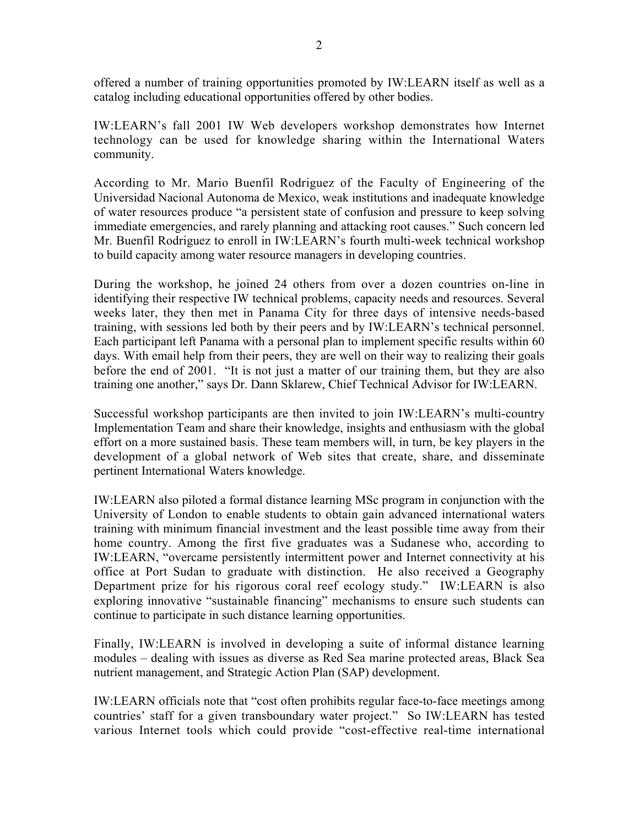offered a number of training opportunities promoted by IW:LEARN itself as well as a catalog including educational opportunities offered by other bodies.

IW:LEARN's fall 2001 IW Web developers workshop demonstrates how Internet technology can be used for knowledge sharing within the International Waters community.

According to Mr. Mario Buenfil Rodriguez of the Faculty of Engineering of the Universidad Nacional Autonoma de Mexico, weak institutions and inadequate knowledge of water resources produce "a persistent state of confusion and pressure to keep solving immediate emergencies, and rarely planning and attacking root causes." Such concern led Mr. Buenfil Rodriguez to enroll in IW:LEARN's fourth multi-week technical workshop to build capacity among water resource managers in developing countries.

During the workshop, he joined 24 others from over a dozen countries on-line in identifying their respective IW technical problems, capacity needs and resources. Several weeks later, they then met in Panama City for three days of intensive needs-based training, with sessions led both by their peers and by IW:LEARN's technical personnel. Each participant left Panama with a personal plan to implement specific results within 60 days. With email help from their peers, they are well on their way to realizing their goals before the end of 2001. "It is not just a matter of our training them, but they are also training one another," says Dr. Dann Sklarew, Chief Technical Advisor for IW:LEARN.

Successful workshop participants are then invited to join IW:LEARN's multi-country Implementation Team and share their knowledge, insights and enthusiasm with the global effort on a more sustained basis. These team members will, in turn, be key players in the development of a global network of Web sites that create, share, and disseminate pertinent International Waters knowledge.

IW:LEARN also piloted a formal distance learning MSc program in conjunction with the University of London to enable students to obtain gain advanced international waters training with minimum financial investment and the least possible time away from their home country. Among the first five graduates was a Sudanese who, according to IW:LEARN, "overcame persistently intermittent power and Internet connectivity at his office at Port Sudan to graduate with distinction. He also received a Geography Department prize for his rigorous coral reef ecology study." IW:LEARN is also exploring innovative "sustainable financing" mechanisms to ensure such students can continue to participate in such distance learning opportunities.

Finally, IW:LEARN is involved in developing a suite of informal distance learning modules – dealing with issues as diverse as Red Sea marine protected areas, Black Sea nutrient management, and Strategic Action Plan (SAP) development.

IW:LEARN officials note that "cost often prohibits regular face-to-face meetings among countries' staff for a given transboundary water project." So IW:LEARN has tested various Internet tools which could provide "cost-effective real-time international